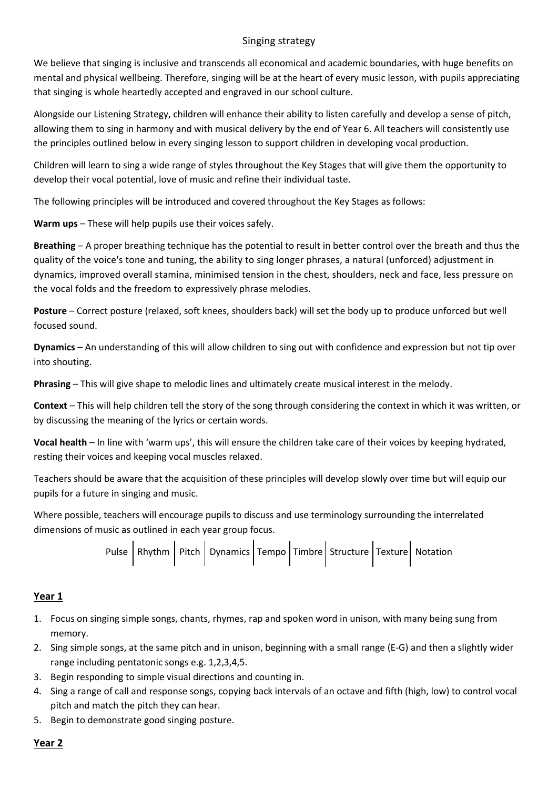#### Singing strategy

We believe that singing is inclusive and transcends all economical and academic boundaries, with huge benefits on mental and physical wellbeing. Therefore, singing will be at the heart of every music lesson, with pupils appreciating that singing is whole heartedly accepted and engraved in our school culture.

Alongside our Listening Strategy, children will enhance their ability to listen carefully and develop a sense of pitch, allowing them to sing in harmony and with musical delivery by the end of Year 6. All teachers will consistently use the principles outlined below in every singing lesson to support children in developing vocal production.

Children will learn to sing a wide range of styles throughout the Key Stages that will give them the opportunity to develop their vocal potential, love of music and refine their individual taste.

The following principles will be introduced and covered throughout the Key Stages as follows:

**Warm ups** – These will help pupils use their voices safely.

**Breathing** – A proper breathing technique has the potential to result in better control over the breath and thus the quality of the voice's tone and tuning, the ability to sing longer phrases, a natural (unforced) adjustment in dynamics, improved overall stamina, minimised tension in the chest, shoulders, neck and face, less pressure on the vocal folds and the freedom to expressively phrase melodies.

**Posture** – Correct posture (relaxed, soft knees, shoulders back) will set the body up to produce unforced but well focused sound.

**Dynamics** – An understanding of this will allow children to sing out with confidence and expression but not tip over into shouting.

**Phrasing** – This will give shape to melodic lines and ultimately create musical interest in the melody.

**Context** – This will help children tell the story of the song through considering the context in which it was written, or by discussing the meaning of the lyrics or certain words.

**Vocal health** – In line with 'warm ups', this will ensure the children take care of their voices by keeping hydrated, resting their voices and keeping vocal muscles relaxed.

Teachers should be aware that the acquisition of these principles will develop slowly over time but will equip our pupils for a future in singing and music.

Where possible, teachers will encourage pupils to discuss and use terminology surrounding the interrelated dimensions of music as outlined in each year group focus.

Pulse  $R$ hythm  $P$ itch  $D$ ynamics Tempo Timbre Structure Texture Notation

## **Year 1**

- 1. Focus on singing simple songs, chants, rhymes, rap and spoken word in unison, with many being sung from memory.
- 2. Sing simple songs, at the same pitch and in unison, beginning with a small range (E-G) and then a slightly wider range including pentatonic songs e.g. 1,2,3,4,5.
- 3. Begin responding to simple visual directions and counting in.
- 4. Sing a range of call and response songs, copying back intervals of an octave and fifth (high, low) to control vocal pitch and match the pitch they can hear.
- 5. Begin to demonstrate good singing posture.

## **Year 2**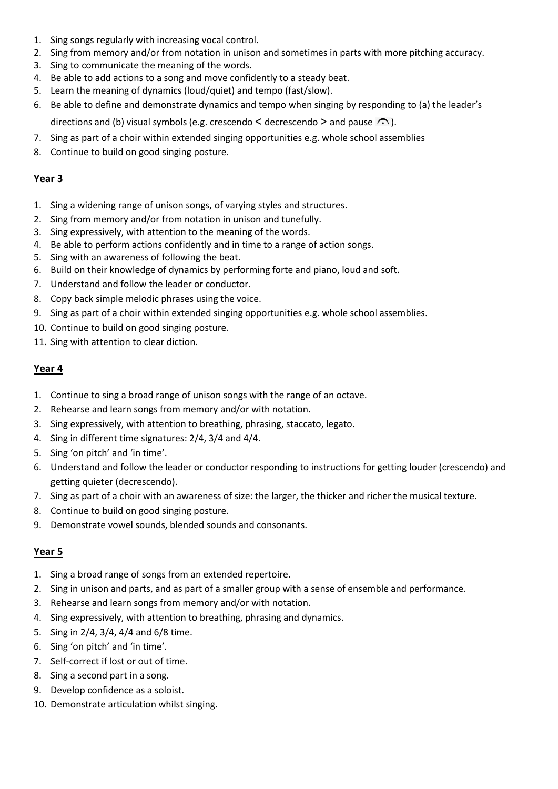- 1. Sing songs regularly with increasing vocal control.
- 2. Sing from memory and/or from notation in unison and sometimes in parts with more pitching accuracy.
- 3. Sing to communicate the meaning of the words.
- 4. Be able to add actions to a song and move confidently to a steady beat.
- 5. Learn the meaning of dynamics (loud/quiet) and tempo (fast/slow).
- 6. Be able to define and demonstrate dynamics and tempo when singing by responding to (a) the leader's directions and (b) visual symbols (e.g. crescendo  $\leq$  decrescendo  $\geq$  and pause  $\curvearrowright$ ).
- 7. Sing as part of a choir within extended singing opportunities e.g. whole school assemblies
- 8. Continue to build on good singing posture.

# **Year 3**

- 1. Sing a widening range of unison songs, of varying styles and structures.
- 2. Sing from memory and/or from notation in unison and tunefully.
- 3. Sing expressively, with attention to the meaning of the words.
- 4. Be able to perform actions confidently and in time to a range of action songs.
- 5. Sing with an awareness of following the beat.
- 6. Build on their knowledge of dynamics by performing forte and piano, loud and soft.
- 7. Understand and follow the leader or conductor.
- 8. Copy back simple melodic phrases using the voice.
- 9. Sing as part of a choir within extended singing opportunities e.g. whole school assemblies.
- 10. Continue to build on good singing posture.
- 11. Sing with attention to clear diction.

#### **Year 4**

- 1. Continue to sing a broad range of unison songs with the range of an octave.
- 2. Rehearse and learn songs from memory and/or with notation.
- 3. Sing expressively, with attention to breathing, phrasing, staccato, legato.
- 4. Sing in different time signatures: 2/4, 3/4 and 4/4.
- 5. Sing 'on pitch' and 'in time'.
- 6. Understand and follow the leader or conductor responding to instructions for getting louder (crescendo) and getting quieter (decrescendo).
- 7. Sing as part of a choir with an awareness of size: the larger, the thicker and richer the musical texture.
- 8. Continue to build on good singing posture.
- 9. Demonstrate vowel sounds, blended sounds and consonants.

## **Year 5**

- 1. Sing a broad range of songs from an extended repertoire.
- 2. Sing in unison and parts, and as part of a smaller group with a sense of ensemble and performance.
- 3. Rehearse and learn songs from memory and/or with notation.
- 4. Sing expressively, with attention to breathing, phrasing and dynamics.
- 5. Sing in 2/4, 3/4, 4/4 and 6/8 time.
- 6. Sing 'on pitch' and 'in time'.
- 7. Self-correct if lost or out of time.
- 8. Sing a second part in a song.
- 9. Develop confidence as a soloist.
- 10. Demonstrate articulation whilst singing.